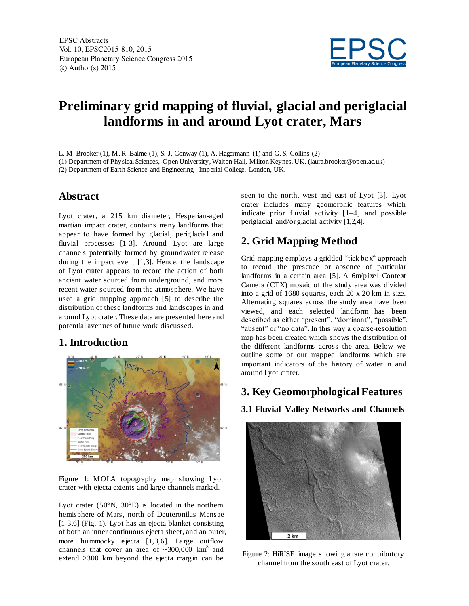

# **Preliminary grid mapping of fluvial, glacial and periglacial landforms in and around Lyot crater, Mars**

L. M. Brooker (1), M.R. Balme (1), S. J. Conway (1), A. Hagermann (1) and G. S. Collins (2)

(1) Department of Physical Sciences, Open University, Walton Hall, Milton Keynes, UK. (laura.brooker@open.ac.uk)

(2) Department of Earth Science and Engineering, Imperial College, London, UK.

#### **Abstract**

Lyot crater, a 215 km diameter, Hesperian-aged martian impact crater, contains many landforms that appear to have formed by glacial, perig lacial and fluvial processes [1-3]. Around Lyot are large channels potentially formed by groundwater release during the impact event [1,3]. Hence, the landscape of Lyot crater appears to record the action of both ancient water sourced from underground, and more recent water sourced from the atmosphere. We have used a grid mapping approach [5] to describe the distribution of these landforms and landscapes in and around Lyot crater. These data are presented here and potential avenues of future work discussed.

## **1. Introduction**



Figure 1: MOLA topography map showing Lyot crater with ejecta extents and large channels marked.

Lyot crater  $(50^{\circ}N, 30^{\circ}E)$  is located in the northern hemisphere of Mars, north of Deuteronilus Mensae [1-3,6] (Fig. 1). Lyot has an ejecta blanket consisting of both an inner continuous ejecta sheet, and an outer, more hummocky ejecta [1,3,6]. Large outflow channels that cover an area of  $\sim 300,000$  km<sup>3</sup> and extend >300 km beyond the ejecta margin can be

seen to the north, west and east of Lyot [3]. Lyot crater includes many geomorphic features which indicate prior fluvial activity [1–4] and possible periglacial and/or glacial activity [1,2,4].

# **2. Grid Mapping Method**

Grid mapping employs a gridded "tick box" approach to record the presence or absence of particular landforms in a certain area [5]. A 6m/pixel Context Camera (CTX) mosaic of the study area was divided into a grid of 1680 squares, each 20 x 20 km in size. Alternating squares across the study area have been viewed, and each selected landform has been described as either "present", "dominant", "possible", "absent" or "no data". In this way a coarse-resolution map has been created which shows the distribution of the different landforms across the area. Below we outline some of our mapped landforms which are important indicators of the history of water in and around Lyot crater.

## **3. Key Geomorphological Features**

**3.1 Fluvial Valley Networks and Channels**



Figure 2: HiRISE image showing a rare contributory channel from the south east of Lyot crater.